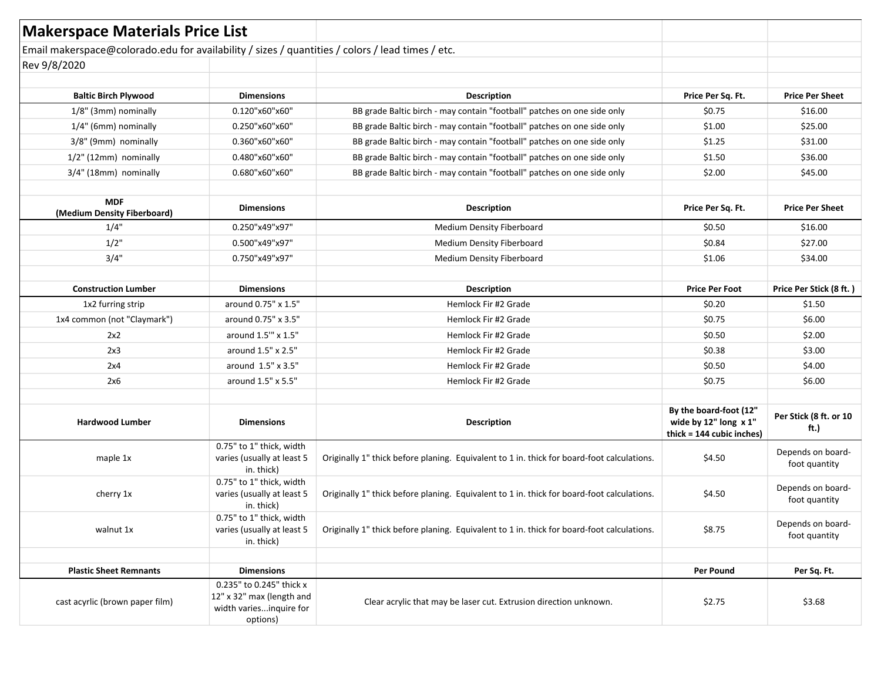| <b>Makerspace Materials Price List</b>                                                           |                                                                                              |                                                                                            |                                                                              |                                    |
|--------------------------------------------------------------------------------------------------|----------------------------------------------------------------------------------------------|--------------------------------------------------------------------------------------------|------------------------------------------------------------------------------|------------------------------------|
| Email makerspace@colorado.edu for availability / sizes / quantities / colors / lead times / etc. |                                                                                              |                                                                                            |                                                                              |                                    |
| Rev 9/8/2020                                                                                     |                                                                                              |                                                                                            |                                                                              |                                    |
|                                                                                                  |                                                                                              |                                                                                            |                                                                              |                                    |
| <b>Baltic Birch Plywood</b>                                                                      | <b>Dimensions</b>                                                                            | <b>Description</b>                                                                         | Price Per Sq. Ft.                                                            | <b>Price Per Sheet</b>             |
| 1/8" (3mm) nominally                                                                             | 0.120"x60"x60"                                                                               | BB grade Baltic birch - may contain "football" patches on one side only                    | \$0.75                                                                       | \$16.00                            |
| 1/4" (6mm) nominally                                                                             | 0.250"x60"x60"                                                                               | BB grade Baltic birch - may contain "football" patches on one side only                    | \$1.00                                                                       | \$25.00                            |
| 3/8" (9mm) nominally                                                                             | 0.360"x60"x60"                                                                               | BB grade Baltic birch - may contain "football" patches on one side only                    | \$1.25                                                                       | \$31.00                            |
| 1/2" (12mm) nominally                                                                            | 0.480"x60"x60"                                                                               | BB grade Baltic birch - may contain "football" patches on one side only                    | \$1.50                                                                       | \$36.00                            |
| 3/4" (18mm) nominally                                                                            | 0.680"x60"x60"                                                                               | BB grade Baltic birch - may contain "football" patches on one side only                    | \$2.00                                                                       | \$45.00                            |
| <b>MDF</b><br>(Medium Density Fiberboard)                                                        | <b>Dimensions</b>                                                                            | <b>Description</b>                                                                         | Price Per Sq. Ft.                                                            | <b>Price Per Sheet</b>             |
| 1/4"                                                                                             | 0.250"x49"x97"                                                                               | Medium Density Fiberboard                                                                  | \$0.50                                                                       | \$16.00                            |
| $1/2$ "                                                                                          | 0.500"x49"x97"                                                                               | Medium Density Fiberboard                                                                  | \$0.84                                                                       | \$27.00                            |
| 3/4"                                                                                             | 0.750"x49"x97"                                                                               | Medium Density Fiberboard                                                                  | \$1.06                                                                       | \$34.00                            |
|                                                                                                  |                                                                                              |                                                                                            |                                                                              |                                    |
| <b>Construction Lumber</b>                                                                       | <b>Dimensions</b>                                                                            | <b>Description</b>                                                                         | <b>Price Per Foot</b>                                                        | Price Per Stick (8 ft.)            |
| 1x2 furring strip                                                                                | around 0.75" x 1.5"                                                                          | Hemlock Fir #2 Grade                                                                       | \$0.20                                                                       | \$1.50                             |
| 1x4 common (not "Claymark")                                                                      | around 0.75" x 3.5"                                                                          | Hemlock Fir #2 Grade                                                                       | \$0.75                                                                       | \$6.00                             |
| 2x2                                                                                              | around 1.5" x 1.5"                                                                           | Hemlock Fir #2 Grade                                                                       | \$0.50                                                                       | \$2.00                             |
| 2x3                                                                                              | around 1.5" x 2.5"                                                                           | Hemlock Fir #2 Grade                                                                       | \$0.38                                                                       | \$3.00                             |
| 2x4                                                                                              | around 1.5" x 3.5"                                                                           | Hemlock Fir #2 Grade                                                                       | \$0.50                                                                       | \$4.00                             |
| 2x6                                                                                              | around 1.5" x 5.5"                                                                           | Hemlock Fir #2 Grade                                                                       | \$0.75                                                                       | \$6.00                             |
|                                                                                                  |                                                                                              |                                                                                            |                                                                              |                                    |
| <b>Hardwood Lumber</b>                                                                           | <b>Dimensions</b>                                                                            | <b>Description</b>                                                                         | By the board-foot (12"<br>wide by 12" long x 1"<br>thick = 144 cubic inches) | Per Stick (8 ft. or 10<br>ft.)     |
| maple 1x                                                                                         | 0.75" to 1" thick, width<br>varies (usually at least 5<br>in. thick)                         | Originally 1" thick before planing. Equivalent to 1 in. thick for board-foot calculations. | \$4.50                                                                       | Depends on board-<br>foot quantity |
| cherry 1x                                                                                        | 0.75" to 1" thick, width<br>varies (usually at least 5<br>in. thick)                         | Originally 1" thick before planing. Equivalent to 1 in. thick for board-foot calculations. | \$4.50                                                                       | Depends on board-<br>foot quantity |
| walnut 1x                                                                                        | 0.75" to 1" thick, width<br>varies (usually at least 5<br>in. thick)                         | Originally 1" thick before planing. Equivalent to 1 in. thick for board-foot calculations. | \$8.75                                                                       | Depends on board-<br>foot quantity |
|                                                                                                  |                                                                                              |                                                                                            |                                                                              |                                    |
| <b>Plastic Sheet Remnants</b>                                                                    | <b>Dimensions</b>                                                                            |                                                                                            | <b>Per Pound</b>                                                             | Per Sq. Ft.                        |
| cast acyrlic (brown paper film)                                                                  | 0.235" to 0.245" thick x<br>12" x 32" max (length and<br>width variesinquire for<br>options) | Clear acrylic that may be laser cut. Extrusion direction unknown.                          | \$2.75                                                                       | \$3.68                             |